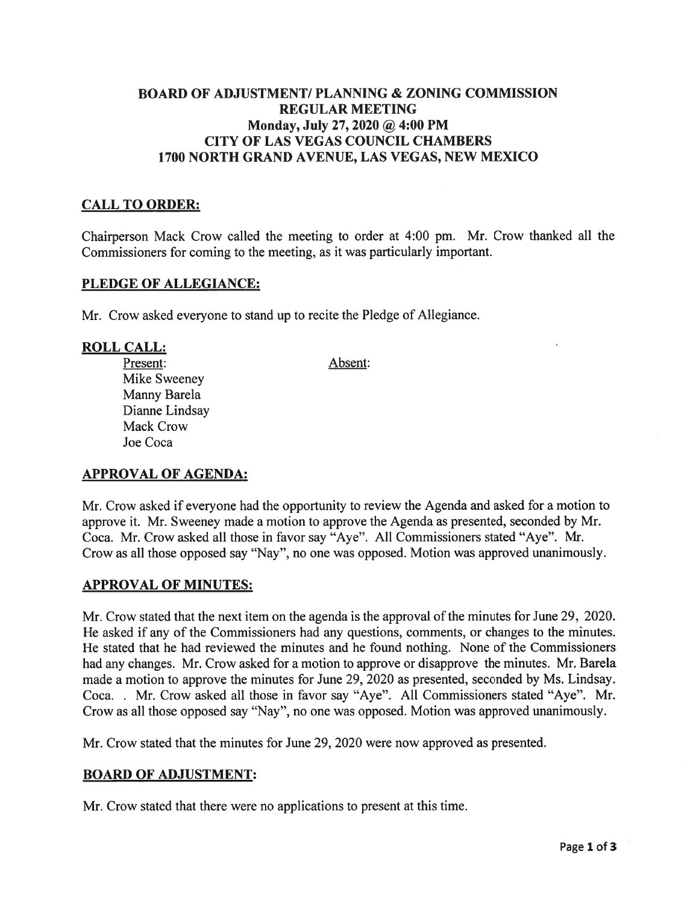# BOARD OF ADJUSTMENT/ PLANNING & ZONING COMMISSION REGULAR MEETING Monday, July 27, 2020 @ 4:00 PM CITY OF LAS VEGAS COUNCIL CHAMBERS 1700 NORTH GRAND AVENUE, LAS VEGAS, NEW MEXICO

## CALL TO ORDER:

Chairperson Mack Crow called the meeting to order at 4:00 pm. Mr. Crow thanked all the Commissioners for coming to the meeting, as it was particularly important.

### PLEDGE OF ALLEGIANCE:

Mr. Crow asked everyone to stand up to recite the Pledge of Allegiance.

### ROLL CALL:

Present: Absent: Mike Sweeney Manny Barela Dianne Lindsay Mack Crow Joe Coca

## APPROVAL OF AGENDA:

Mr. Crow asked if everyone had the opportunity to review the Agenda and asked for <sup>a</sup> motion to approve it. Mr. Sweeney made <sup>a</sup> motion to approve the Agenda as presented, seconded by Mr. Coca. Mr. Crow asked all those in favor say "Aye". All Commissioners stated "Aye". Mr. Crow as all those opposed say "Nay", no one was opposed. Motion was approved unanimously.

#### APPROVAL OF MINUTES:

Mr. Crow stated that the next item on the agenda is the approval of the minutes for June 29, 2020. He asked if any of the Commissioners had any questions, comments, or changes to the minutes. He stated that he had reviewed the minutes and he found nothing. None of the Commissioners had any changes. Mr. Crow asked for <sup>a</sup> motion to approve or disapprove the minutes. Mr. Barela made <sup>a</sup> motion to approve the minutes for June 29, 2020 as presented, seconded by Ms. Lindsay. Coca. . Mr. Crow asked all those in favor say "Aye". All Commissioners stated "Aye". Mr. Crow as all those opposed say "Nay", no one was opposed. Motion was approved unanimously.

Mr. Crow stated that the minutes for June 29, 2020 were now approved as presented.

## BOARD OF ADJUSTMENT:

Mr. Crow stated that there were no applications to presen<sup>t</sup> at this time.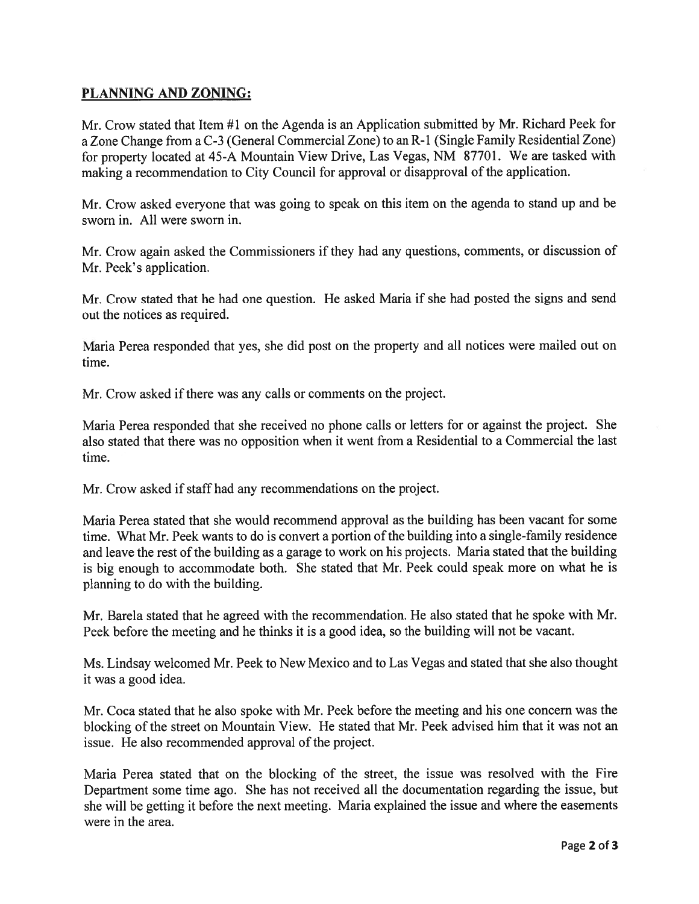# PLANNING AND ZONING:

Mr. Crow stated that Item #1 on the Agenda is an Application submitted by Mr. Richard Peek for <sup>a</sup> Zone Change from <sup>a</sup> C-3 (General Commercial Zone) to an R- <sup>1</sup> (Single Family Residential Zone) for property located at 45-A Mountain View Drive, Las Vegas, NM 87701. We are tasked with making <sup>a</sup> recommendation to City Council for approva<sup>l</sup> or disapproval of the application.

Mr. Crow asked everyone that was going to speak on this item on the agenda to stand up and be sworn in. All were sworn in.

Mr. Crow again asked the Commissioners if they had any questions, comments, or discussion of Mr. Peek's application.

Mr. Crow stated that he had one question. He asked Maria if she had posted the signs and send out the notices as required.

Maria Perea responded that yes, she did pos<sup>t</sup> on the property and all notices were mailed out on time.

Mr. Crow asked if there was any calls or comments on the project.

Maria Perea responded that she received no <sup>p</sup>hone calls or letters for or against the project. She also stated that there was no opposition when it went from <sup>a</sup> Residential to <sup>a</sup> Commercial the last time.

Mr. Crow asked if staff had any recommendations on the project.

Maria Perea stated that she would recommend approval as the building has been vacant for some time. What Mr. Peek wants to do is convert a portion of the building into a single-family residence and leave the rest of the building as a garage to work on his projects. Maria stated that the building is big enoug<sup>h</sup> to accommodate both. She stated that Mr. Peek could spea<sup>k</sup> more on what he is planning to do with the building.

Mr. Barela stated that he agreed with the recommendation. He also stated that he spoke with Mr. Peek before the meeting and he thinks it is <sup>a</sup> good idea, so the building will not be vacant.

Ms. Lindsay welcomed Mr. Peek to New Mexico and to Las Vegas and stated that she also thought it was <sup>a</sup> good idea.

Mr. Coca stated that he also spoke with Mr. Peek before the meeting and his one concern was the blocking of the street on Mountain View. He stated that Mr. Peek advised him that it was not an issue. He also recommended approval of the project.

Maria Perea stated that on the blocking of the street, the issue was resolved with the Fire Department some time ago. She has not received all the documentation regarding the issue, but she will be getting it before the next meeting. Maria explained the issue and where the easements were in the area.